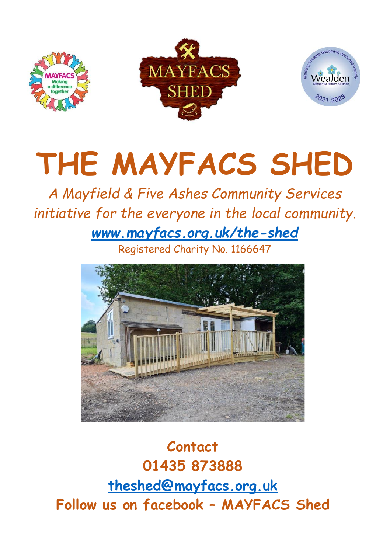

## **THE MAYFACS SHED**

## *A Mayfield & Five Ashes Community Services initiative for the everyone in the local community. [www.mayfacs.org.uk/the-shed](http://www.mayfacs.org.uk/the-shed)*

Registered Charity No. 1166647



**Contact 01435 873888 [theshed@mayfacs.org.uk](mailto:theshed@mayfacs.org.uk) Follow us on facebook – MAYFACS Shed**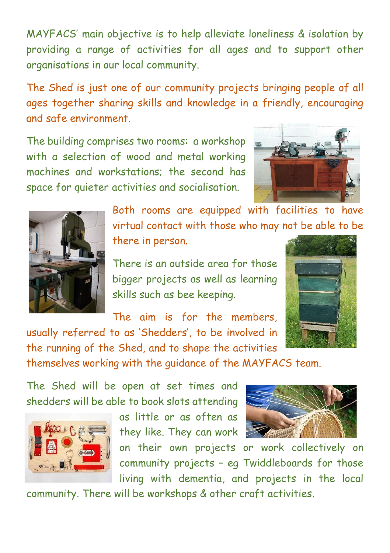MAYFACS' main objective is to help alleviate loneliness & isolation by providing a range of activities for all ages and to support other organisations in our local community.

The Shed is just one of our community projects bringing people of all ages together sharing skills and knowledge in a friendly, encouraging and safe environment.

The building comprises two rooms: a workshop with a selection of wood and metal working machines and workstations; the second has space for quieter activities and socialisation.





Both rooms are equipped with facilities to have virtual contact with those who may not be able to be there in person.

There is an outside area for those bigger projects as well as learning skills such as bee keeping.

The aim is for the members usually referred to as 'Shedders', to be involved in



the running of the Shed, and to shape the activities themselves working with the guidance of the MAYFACS team.

The Shed will be open at set times and shedders will be able to book slots attending



as little or as often as they like. They can work

on their own projects or work collectively on community projects – eg Twiddleboards for those living with dementia, and projects in the local

community. There will be workshops & other craft activities.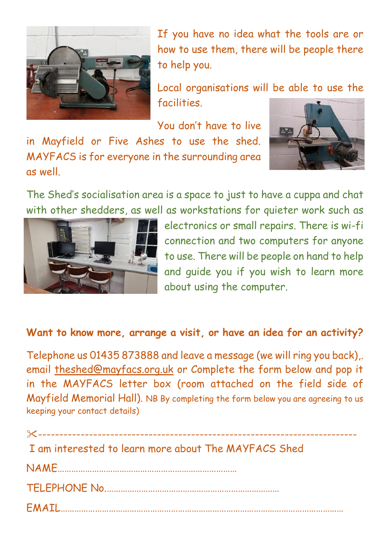

If you have no idea what the tools are or how to use them, there will be people there to help you.

Local organisations will be able to use the facilities.

You don't have to live

in Mayfield or Five Ashes to use the shed. MAYFACS is for everyone in the surrounding area as well.



The Shed's socialisation area is a space to just to have a cuppa and chat with other shedders, as well as workstations for quieter work such as



electronics or small repairs. There is wi-fi connection and two computers for anyone to use. There will be people on hand to help and guide you if you wish to learn more about using the computer.

## **Want to know more, arrange a visit, or have an idea for an activity?**

Telephone us 01435 873888 and leave a message (we will ring you back),. email [theshed@mayfacs.org.uk](mailto:theshed@mayfacs.org.uk) or Complete the form below and pop it in the MAYFACS letter box (room attached on the field side of Mayfield Memorial Hall). NB By completing the form below you are agreeing to us keeping your contact details)

| I am interested to learn more about The MAYFACS Shed |
|------------------------------------------------------|
|                                                      |
|                                                      |
|                                                      |